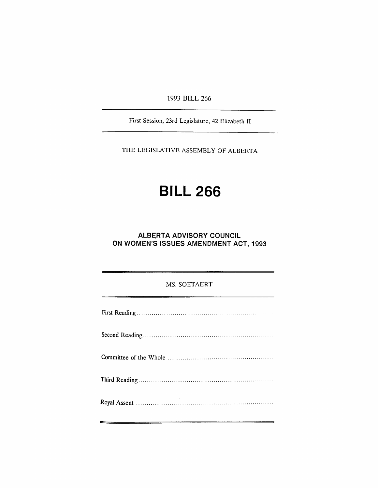1993 BILL 266

First Session, 23rd Legislature. 42 Elizabeth II

THE LEGISLATIVE ASSEMBLY OF ALBERTA

# **BILL** 266

### **ALBERTA ADVISORY COUNCIL** ON WOMEN'S ISSUES AMENDMENT ACT, 1993

#### MS. SOETAERT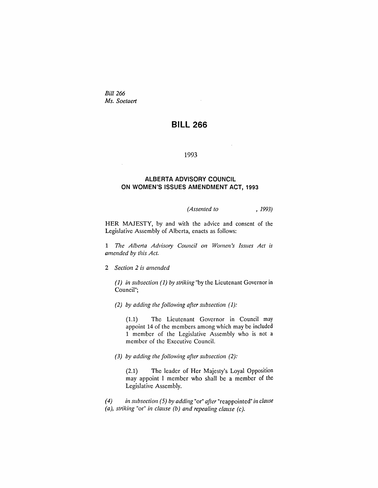*Bill 266 Ms. Soetaert*

## **BILL 266**

÷.

#### 1993

#### **ALBERTA ADVISORY COUNCIL ON WOMEN'S ISSUES AMENDMENT ACT, 1993**

*(Assented to* , 1993)

HER MAJESTY, by and with the advice and consent of the Legislative Assembly of Alberta, enacts as follows:

1 *77le Alberta Advisory Council on Women's Issues Act is amended by this Act.*

2 *Section* 2 *is amended*

*(1) in subsection* (1) *by striking* "by the Lieutenant Governor in Council";

*(2) by adding the following after subsection* (1):

(1.1) The Lieutenant Governor in Council may appoint 14 of the members among which may be included 1 member of the Legislative Assembly who is not a member of the Executive Council.

*(3) by adding the following after subsection (2):*

(2.1) The leader of Her Majesty's Loyal Opposition may appoint I member who shall be a member of the Legislative Assembly.

*(4) in subsection* (5) *by adding* "or" *after* "reappointed" *in clause (a), striking* "or" *in clause (b) and repealing clause (c).*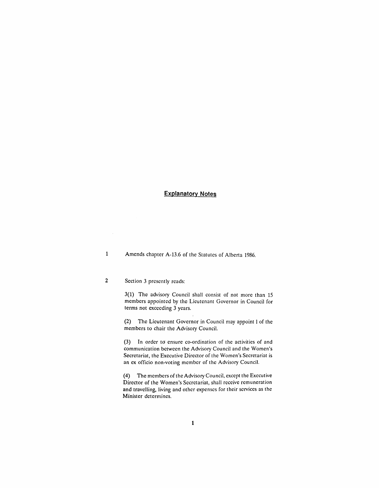#### **Explanatory Notes**

1 Amends chapter A-13.6 of the Statutes of Alberta 1986.

#### 2 Section 3 presently reads:

3(1) The advisory Council shall consist of not more than 15 members appointed by the Lieutenant Governor in Council for terms not exceeding 3 years.

(2) The Lieutenant Governor in Council may appoint 1of the members to chair the Advisory Council.

(3) In order to ensure co-ordination of the activities of and communication between the Advisory Council and the Women's Secretariat, the Executive Director of the Women's Secretariat is an ex officio non-voting member of the Advisory Council.

(4) The members of the Advisory Council, except the Executive Director of the Women's Secretariat, shall receive remuneration and travelling, living and other expenses for their services as the Minister determines.